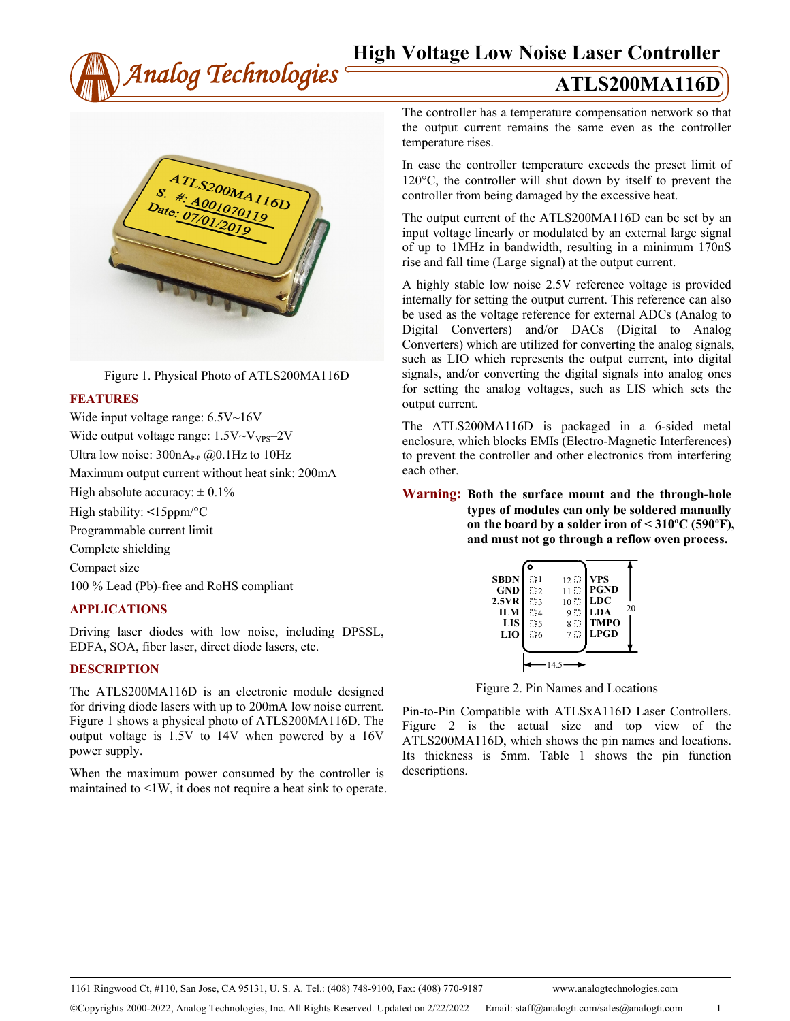# **High Voltage Low Noise Laser Controller**





Figure 1. Physical Photo of ATLS200MA116D

#### **FEATURES**

Wide input voltage range: 6.5V~16V Wide output voltage range:  $1.5V \sim V_{VPS} - 2V$ Ultra low noise:  $300nA_{P-P}$  ( $\omega$ ). 1Hz to 10Hz Maximum output current without heat sink: 200mA High absolute accuracy:  $\pm 0.1\%$ High stability: **<**15ppm/°C Programmable current limit Complete shielding Compact size 100 % Lead (Pb)-free and RoHS compliant

#### **APPLICATIONS**

Driving laser diodes with low noise, including DPSSL, EDFA, SOA, fiber laser, direct diode lasers, etc.

## **DESCRIPTION**

The ATLS200MA116D is an electronic module designed for driving diode lasers with up to 200mA low noise current. Figure 1 shows a physical photo of ATLS200MA116D. The output voltage is 1.5V to 14V when powered by a 16V power supply.

When the maximum power consumed by the controller is maintained to <1W, it does not require a heat sink to operate. The controller has a temperature compensation network so that the output current remains the same even as the controller temperature rises.

In case the controller temperature exceeds the preset limit of 120°C, the controller will shut down by itself to prevent the controller from being damaged by the excessive heat.

The output current of the ATLS200MA116D can be set by an input voltage linearly or modulated by an external large signal of up to 1MHz in bandwidth, resulting in a minimum 170nS rise and fall time (Large signal) at the output current.

A highly stable low noise 2.5V reference voltage is provided internally for setting the output current. This reference can also be used as the voltage reference for external ADCs (Analog to Digital Converters) and/or DACs (Digital to Analog Converters) which are utilized for converting the analog signals, such as LIO which represents the output current, into digital signals, and/or converting the digital signals into analog ones for setting the analog voltages, such as LIS which sets the output current.

The ATLS200MA116D is packaged in a 6-sided metal enclosure, which blocks EMIs (Electro-Magnetic Interferences) to prevent the controller and other electronics from interfering each other.

**Warning: Both the surface mount and the through-hole types of modules can only be soldered manually on the board by a solder iron of < 310ºC (590ºF), and must not go through a reflow oven process.**

| <b>SBDN</b> | $\mathbb{Z}^2$ 1 | 12:            | <b>VPS</b>  |    |
|-------------|------------------|----------------|-------------|----|
| <b>GND</b>  | $\cdots$         | 1132           | <b>PGND</b> |    |
| 2.5VR       | ंद               | $10 \ldots$    | <b>LDC</b>  |    |
| <b>ILM</b>  | $\ddot{ }$ : 4   | 9.52           | <b>LDA</b>  | 20 |
| <b>LIS</b>  | 5.55             | $8 \mathbb{Z}$ | <b>TMPO</b> |    |
| LIO         | $\ddot{.}6$      | $7 \cdot$      | <b>LPGD</b> |    |
|             |                  |                |             |    |
|             |                  |                |             |    |

Figure 2. Pin Names and Locations

Pin-to-Pin Compatible with ATLSxA116D Laser Controllers. Figure 2 is the actual size and top view of the ATLS200MA116D, which shows the pin names and locations. Its thickness is 5mm. Table 1 shows the pin function descriptions.

1161 Ringwood Ct, #110, San Jose, CA 95131, U. S. A. Tel.: (408) 748-9100, Fax: (408) 770-9187 www.analogtechnologies.com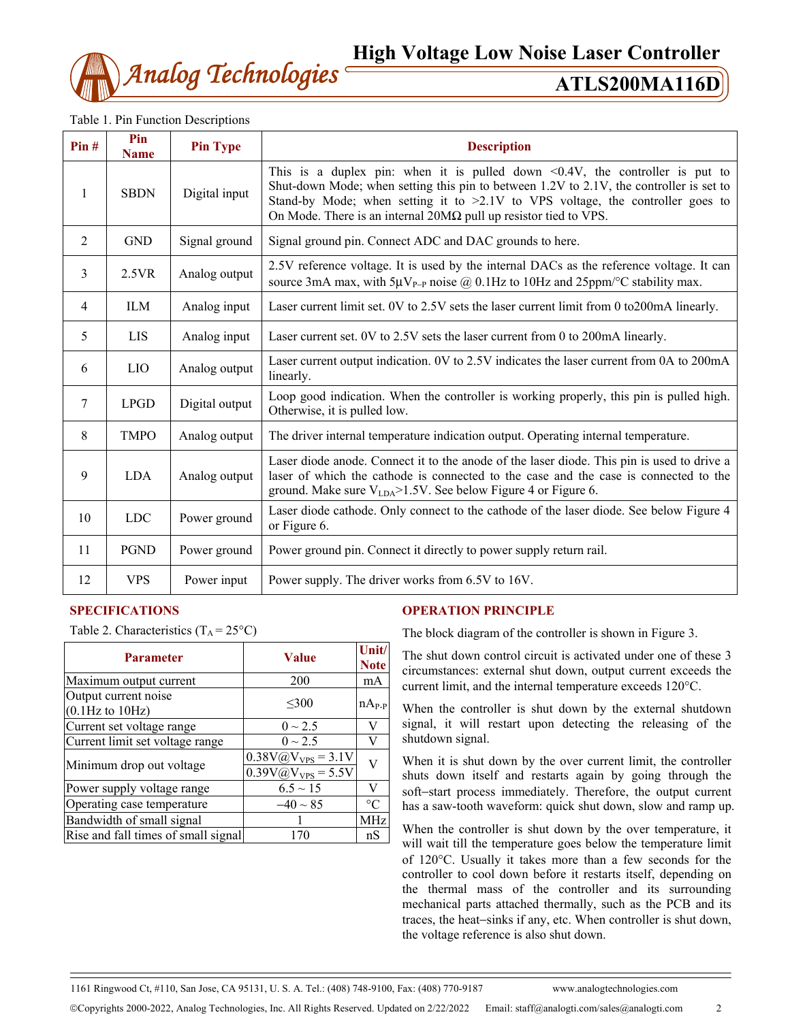

**High Voltage Low Noise Laser Controller**

|  |  |  | Table 1. Pin Function Descriptions |
|--|--|--|------------------------------------|
|--|--|--|------------------------------------|

| Pin# | Pin<br><b>Name</b> | <b>Pin Type</b> | <b>Description</b>                                                                                                                                                                                                                                                                                                                          |  |
|------|--------------------|-----------------|---------------------------------------------------------------------------------------------------------------------------------------------------------------------------------------------------------------------------------------------------------------------------------------------------------------------------------------------|--|
| 1    | <b>SBDN</b>        | Digital input   | This is a duplex pin: when it is pulled down $\leq 0.4V$ , the controller is put to<br>Shut-down Mode; when setting this pin to between 1.2V to 2.1V, the controller is set to<br>Stand-by Mode; when setting it to >2.1V to VPS voltage, the controller goes to<br>On Mode. There is an internal $20M\Omega$ pull up resistor tied to VPS. |  |
| 2    | <b>GND</b>         | Signal ground   | Signal ground pin. Connect ADC and DAC grounds to here.                                                                                                                                                                                                                                                                                     |  |
| 3    | 2.5VR              | Analog output   | 2.5V reference voltage. It is used by the internal DACs as the reference voltage. It can<br>source 3mA max, with $5\mu V_{P-P}$ noise @ 0.1Hz to 10Hz and 25ppm/°C stability max.                                                                                                                                                           |  |
| 4    | <b>ILM</b>         | Analog input    | Laser current limit set. 0V to 2.5V sets the laser current limit from 0 to 200mA linearly.                                                                                                                                                                                                                                                  |  |
| 5    | <b>LIS</b>         | Analog input    | Laser current set. 0V to 2.5V sets the laser current from 0 to 200mA linearly.                                                                                                                                                                                                                                                              |  |
| 6    | <b>LIO</b>         | Analog output   | Laser current output indication. 0V to 2.5V indicates the laser current from 0A to 200mA<br>linearly.                                                                                                                                                                                                                                       |  |
| 7    | <b>LPGD</b>        | Digital output  | Loop good indication. When the controller is working properly, this pin is pulled high.<br>Otherwise, it is pulled low.                                                                                                                                                                                                                     |  |
| 8    | <b>TMPO</b>        | Analog output   | The driver internal temperature indication output. Operating internal temperature.                                                                                                                                                                                                                                                          |  |
| 9    | <b>LDA</b>         | Analog output   | Laser diode anode. Connect it to the anode of the laser diode. This pin is used to drive a<br>laser of which the cathode is connected to the case and the case is connected to the<br>ground. Make sure $V_{LDA}$ >1.5V. See below Figure 4 or Figure 6.                                                                                    |  |
| 10   | <b>LDC</b>         | Power ground    | Laser diode cathode. Only connect to the cathode of the laser diode. See below Figure 4<br>or Figure 6.                                                                                                                                                                                                                                     |  |
| 11   | <b>PGND</b>        | Power ground    | Power ground pin. Connect it directly to power supply return rail.                                                                                                                                                                                                                                                                          |  |
| 12   | <b>VPS</b>         | Power input     | Power supply. The driver works from 6.5V to 16V.                                                                                                                                                                                                                                                                                            |  |

# **SPECIFICATIONS**

Table 2. Characteristics  $(T_A = 25^{\circ}C)$ 

| <b>Parameter</b>                              | <b>Value</b>                                                            | Unit/<br><b>Note</b> |
|-----------------------------------------------|-------------------------------------------------------------------------|----------------------|
| Maximum output current                        | 200                                                                     | mA                   |
| Output current noise<br>$(0.1 Hz$ to $10 Hz)$ | $\leq 300$                                                              | $nA_{P-P}$           |
| Current set voltage range                     | $0 \sim 2.5$                                                            | V                    |
| Current limit set voltage range               | $0 \sim 2.5$                                                            | V                    |
| Minimum drop out voltage                      | $0.38V\omega V_{VPS} = 3.1V$<br>$\overline{0.39V\omega V_{VPS}}$ = 5.5V | $\overline{V}$       |
| Power supply voltage range                    | $6.5 \sim 15$                                                           | V                    |
| Operating case temperature                    | $-40 \sim 85$                                                           | $^{\circ}C$          |
| Bandwidth of small signal                     |                                                                         | MHz                  |
| Rise and fall times of small signal           | 170                                                                     | nS                   |

# **OPERATION PRINCIPLE**

The block diagram of the controller is shown in Figure 3.

The shut down control circuit is activated under one of these 3 circumstances: external shut down, output current exceeds the current limit, and the internal temperature exceeds 120°C.

When the controller is shut down by the external shutdown signal, it will restart upon detecting the releasing of the shutdown signal.

When it is shut down by the over current limit, the controller shuts down itself and restarts again by going through the soft−start process immediately. Therefore, the output current has a saw-tooth waveform: quick shut down, slow and ramp up.

When the controller is shut down by the over temperature, it will wait till the temperature goes below the temperature limit of 120°C. Usually it takes more than a few seconds for the controller to cool down before it restarts itself, depending on the thermal mass of the controller and its surrounding mechanical parts attached thermally, such as the PCB and its traces, the heat−sinks if any, etc. When controller is shut down, the voltage reference is also shut down.

1161 Ringwood Ct, #110, San Jose, CA 95131, U. S. A. Tel.: (408) 748-9100, Fax: (408) 770-9187 www.analogtechnologies.com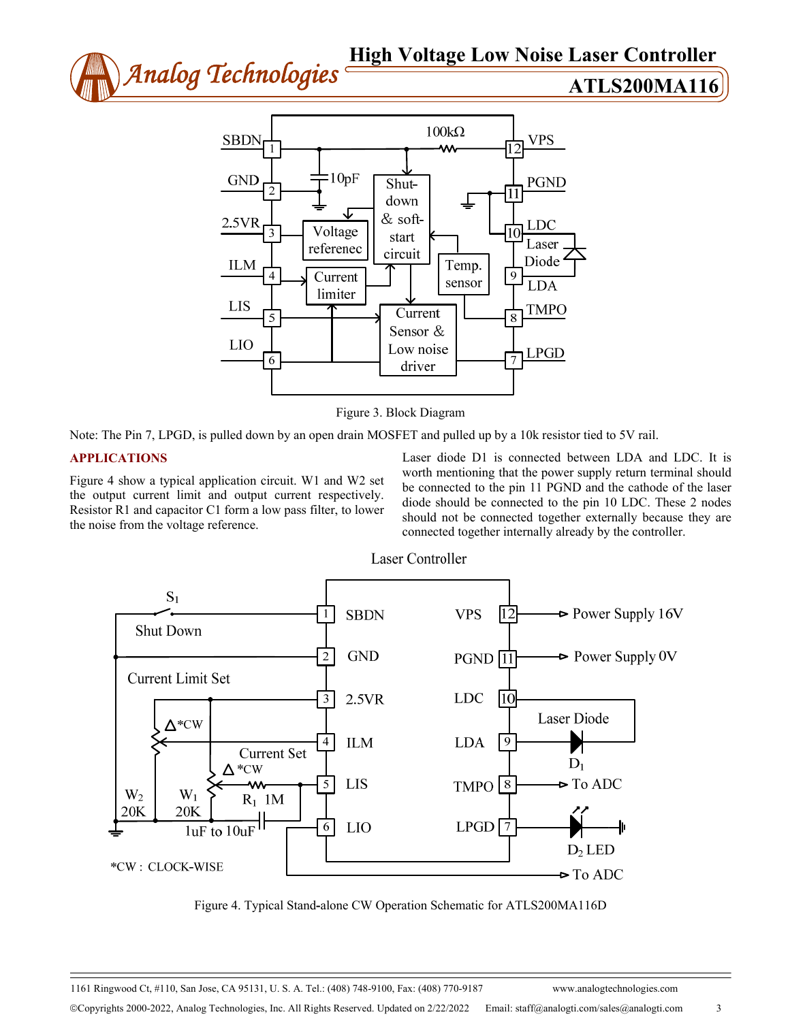



Figure 3. Block Diagram

Note: The Pin 7, LPGD, is pulled down by an open drain MOSFET and pulled up by a 10k resistor tied to 5V rail.

# **APPLICATIONS**

Figure 4 show a typical application circuit. W1 and W2 set the output current limit and output current respectively. Resistor R1 and capacitor C1 form a low pass filter, to lower the noise from the voltage reference.

Laser diode D1 is connected between LDA and LDC. It is worth mentioning that the power supply return terminal should be connected to the pin 11 PGND and the cathode of the laser diode should be connected to the pin 10 LDC. These 2 nodes should not be connected together externally because they are connected together internally already by the controller.



Laser Controller

Figure 4. Typical Stand**-**alone CW Operation Schematic for ATLS200MA116D

1161 Ringwood Ct, #110, San Jose, CA 95131, U. S. A. Tel.: (408) 748-9100, Fax: (408) 770-9187 www.analogtechnologies.com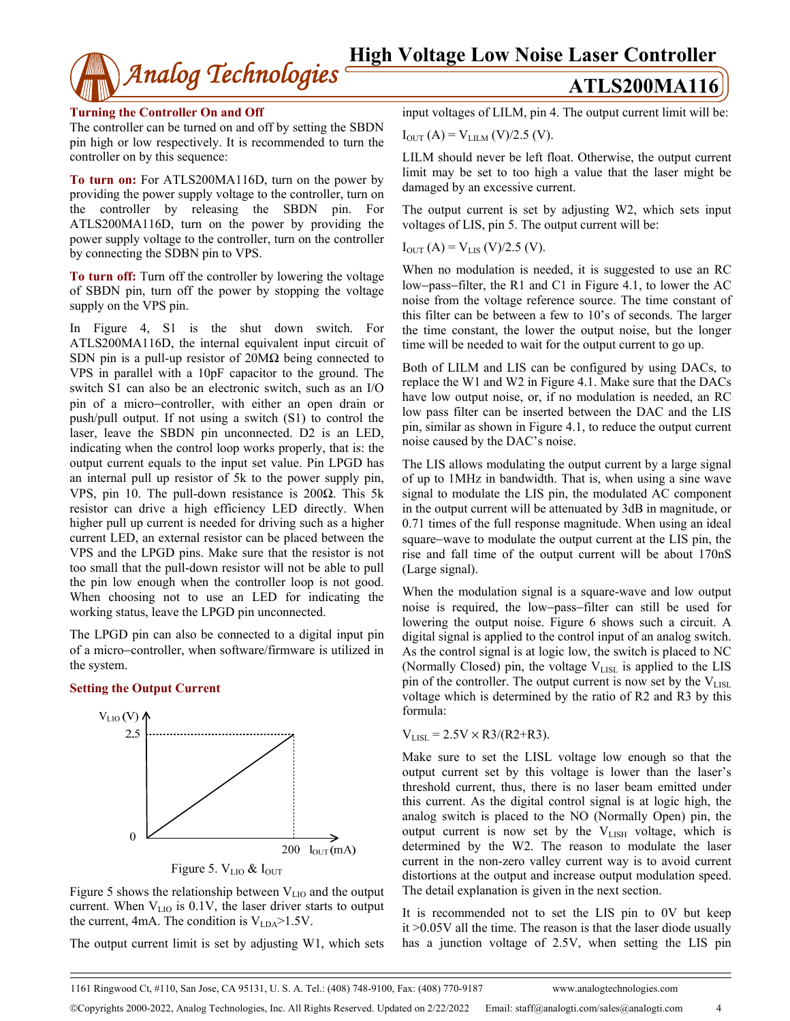

## **Turning the Controller On and Off**

The controller can be turned on and off by setting the SBDN pin high or low respectively. It is recommended to turn the controller on by this sequence:

**To turn on:** For ATLS200MA116D, turn on the power by providing the power supply voltage to the controller, turn on the controller by releasing the SBDN pin. For ATLS200MA116D, turn on the power by providing the power supply voltage to the controller, turn on the controller by connecting the SDBN pin to VPS.

**To turn off:** Turn off the controller by lowering the voltage of SBDN pin, turn off the power by stopping the voltage supply on the VPS pin.

In Figure 4, S1 is the shut down switch. For ATLS200MA116D, the internal equivalent input circuit of SDN pin is a pull-up resistor of 20MΩ being connected to VPS in parallel with a 10pF capacitor to the ground. The switch S1 can also be an electronic switch, such as an I/O pin of a micro−controller, with either an open drain or push/pull output. If not using a switch (S1) to control the laser, leave the SBDN pin unconnected. D2 is an LED, indicating when the control loop works properly, that is: the output current equals to the input set value. Pin LPGD has an internal pull up resistor of 5k to the power supply pin, VPS, pin 10. The pull-down resistance is 200 $Ω$ . This 5k resistor can drive a high efficiency LED directly. When higher pull up current is needed for driving such as a higher current LED, an external resistor can be placed between the VPS and the LPGD pins. Make sure that the resistor is not too small that the pull-down resistor will not be able to pull the pin low enough when the controller loop is not good. When choosing not to use an LED for indicating the working status, leave the LPGD pin unconnected.

The LPGD pin can also be connected to a digital input pin of a micro−controller, when software/firmware is utilized in the system.

# **Setting the Output Current**



Figure 5 shows the relationship between  $V<sub>LIO</sub>$  and the output current. When  $V<sub>LIO</sub>$  is 0.1V, the laser driver starts to output the current, 4mA. The condition is  $V_{LDA}$ >1.5V.

The output current limit is set by adjusting W1, which sets

input voltages of LILM, pin 4. The output current limit will be:

 $I_{OUT} (A) = V_{LILM} (V)/2.5 (V).$ 

LILM should never be left float. Otherwise, the output current limit may be set to too high a value that the laser might be damaged by an excessive current.

The output current is set by adjusting W2, which sets input voltages of LIS, pin 5. The output current will be:

 $I_{OUT} (A) = V_{LIS} (V)/2.5 (V).$ 

When no modulation is needed, it is suggested to use an RC low−pass−filter, the R1 and C1 in Figure 4.1, to lower the AC noise from the voltage reference source. The time constant of this filter can be between a few to 10's of seconds. The larger the time constant, the lower the output noise, but the longer time will be needed to wait for the output current to go up.

Both of LILM and LIS can be configured by using DACs, to replace the W1 and W2 in Figure 4.1. Make sure that the DACs have low output noise, or, if no modulation is needed, an RC low pass filter can be inserted between the DAC and the LIS pin, similar as shown in Figure 4.1, to reduce the output current noise caused by the DAC's noise.

The LIS allows modulating the output current by a large signal of up to 1MHz in bandwidth. That is, when using a sine wave signal to modulate the LIS pin, the modulated AC component in the output current will be attenuated by 3dB in magnitude, or 0.71 times of the full response magnitude. When using an ideal square−wave to modulate the output current at the LIS pin, the rise and fall time of the output current will be about 170nS (Large signal).

When the modulation signal is a square-wave and low output noise is required, the low−pass−filter can still be used for lowering the output noise. Figure 6 shows such a circuit. A digital signal is applied to the control input of an analog switch. As the control signal is at logic low, the switch is placed to NC (Normally Closed) pin, the voltage  $V_{LISL}$  is applied to the LIS pin of the controller. The output current is now set by the  $V_{LISL}$ voltage which is determined by the ratio of R2 and R3 by this formula:

 $V_{LISL} = 2.5V \times R3/(R2+R3)$ .

Make sure to set the LISL voltage low enough so that the output current set by this voltage is lower than the laser's threshold current, thus, there is no laser beam emitted under this current. As the digital control signal is at logic high, the analog switch is placed to the NO (Normally Open) pin, the output current is now set by the V<sub>LISH</sub> voltage, which is determined by the W2. The reason to modulate the laser current in the non-zero valley current way is to avoid current distortions at the output and increase output modulation speed. The detail explanation is given in the next section.

It is recommended not to set the LIS pin to 0V but keep it >0.05V all the time. The reason is that the laser diode usually has a junction voltage of 2.5V, when setting the LIS pin

1161 Ringwood Ct, #110, San Jose, CA 95131, U. S. A. Tel.: (408) 748-9100, Fax: (408) 770-9187 www.analogtechnologies.com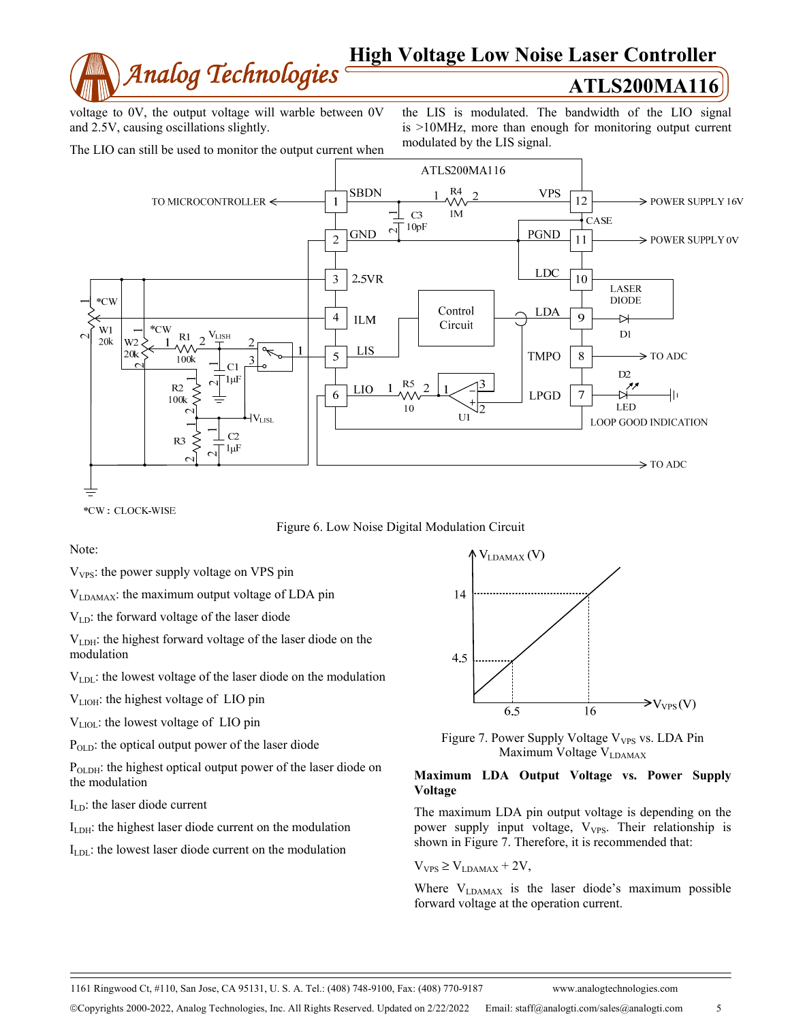

voltage to 0V, the output voltage will warble between 0V and 2.5V, causing oscillations slightly.

the LIS is modulated. The bandwidth of the LIO signal is >10MHz, more than enough for monitoring output current modulated by the LIS signal.





\*CW: CLOCK-WISE

Figure 6. Low Noise Digital Modulation Circuit

Note:

 $V<sub>VPS</sub>$ : the power supply voltage on VPS pin

VLDAMAX: the maximum output voltage of LDA pin

VLD: the forward voltage of the laser diode

 $V<sub>LDH</sub>$ : the highest forward voltage of the laser diode on the modulation

VLDL: the lowest voltage of the laser diode on the modulation

V<sub>LIOH</sub>: the highest voltage of LIO pin

V<sub>LIOL</sub>: the lowest voltage of LIO pin

P<sub>OLD</sub>: the optical output power of the laser diode

P<sub>OLDH</sub>: the highest optical output power of the laser diode on the modulation

 $I<sub>LD</sub>$ : the laser diode current

ILDH: the highest laser diode current on the modulation

I<sub>LDL</sub>: the lowest laser diode current on the modulation



Figure 7. Power Supply Voltage V<sub>VPS</sub> vs. LDA Pin Maximum Voltage V<sub>LDAMAX</sub>

## **Maximum LDA Output Voltage vs. Power Supply Voltage**

The maximum LDA pin output voltage is depending on the power supply input voltage,  $V_{VPS}$ . Their relationship is shown in Figure 7. Therefore, it is recommended that:

 $V_{VPS} \geq V_{LDAMAX} + 2V$ ,

Where  $V_{LDAMAX}$  is the laser diode's maximum possible forward voltage at the operation current.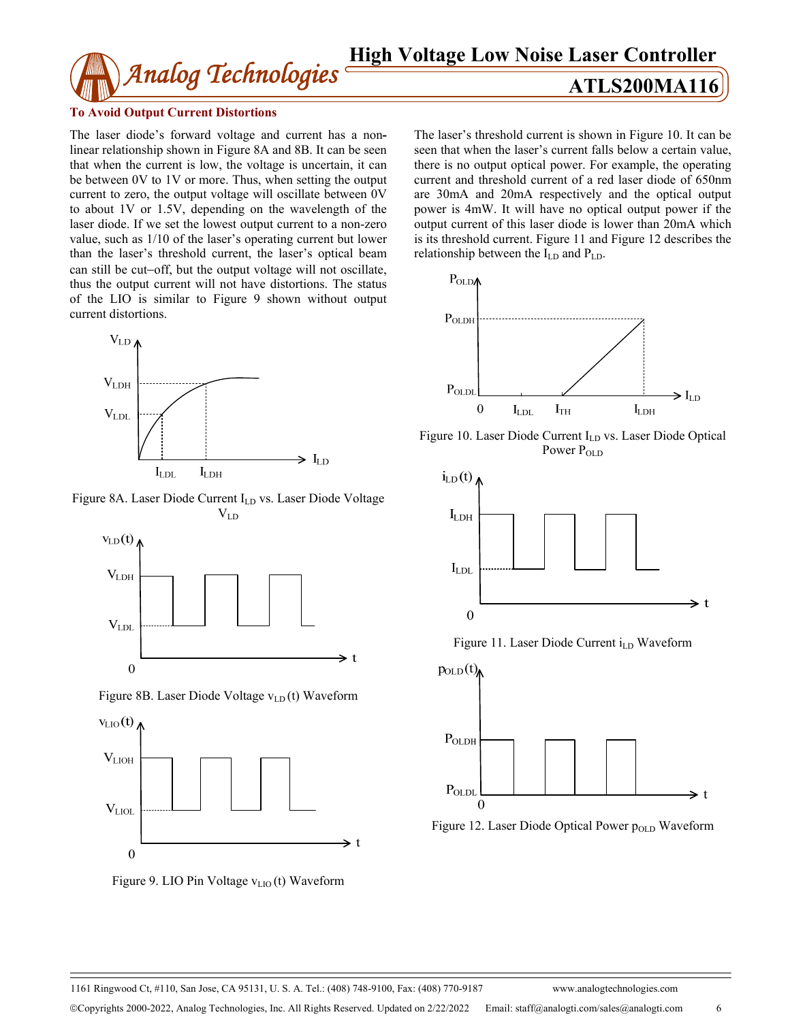## **To Avoid Output Current Distortions**

The laser diode's forward voltage and current has a nonlinear relationship shown in Figure 8A and 8B. It can be seen that when the current is low, the voltage is uncertain, it can be between 0V to 1V or more. Thus, when setting the output current to zero, the output voltage will oscillate between 0V to about 1V or 1.5V, depending on the wavelength of the laser diode. If we set the lowest output current to a non-zero value, such as 1/10 of the laser's operating current but lower than the laser's threshold current, the laser's optical beam can still be cut−off, but the output voltage will not oscillate, thus the output current will not have distortions. The status of the LIO is similar to Figure 9 shown without output current distortions.



Figure 8A. Laser Diode Current I<sub>LD</sub> vs. Laser Diode Voltage  $\rm V_{LD}$ 



Figure 8B. Laser Diode Voltage v<sub>LD</sub>(t) Waveform



Figure 9. LIO Pin Voltage  $v_{LIO}(t)$  Waveform

# **ATLS200MA116**

The laser's threshold current is shown in Figure 10. It can be seen that when the laser's current falls below a certain value, there is no output optical power. For example, the operating current and threshold current of a red laser diode of 650nm are 30mA and 20mA respectively and the optical output power is 4mW. It will have no optical output power if the output current of this laser diode is lower than 20mA which is its threshold current. Figure 11 and Figure 12 describes the relationship between the I<sub>LD</sub> and P<sub>LD</sub>.



Figure 10. Laser Diode Current I<sub>LD</sub> vs. Laser Diode Optical Power P<sub>OLD</sub>



Figure 11. Laser Diode Current i<sub>LD</sub> Waveform



Figure 12. Laser Diode Optical Power  $p_{OLD}$  Waveform

1161 Ringwood Ct, #110, San Jose, CA 95131, U. S. A. Tel.: (408) 748-9100, Fax: (408) 770-9187 www.analogtechnologies.com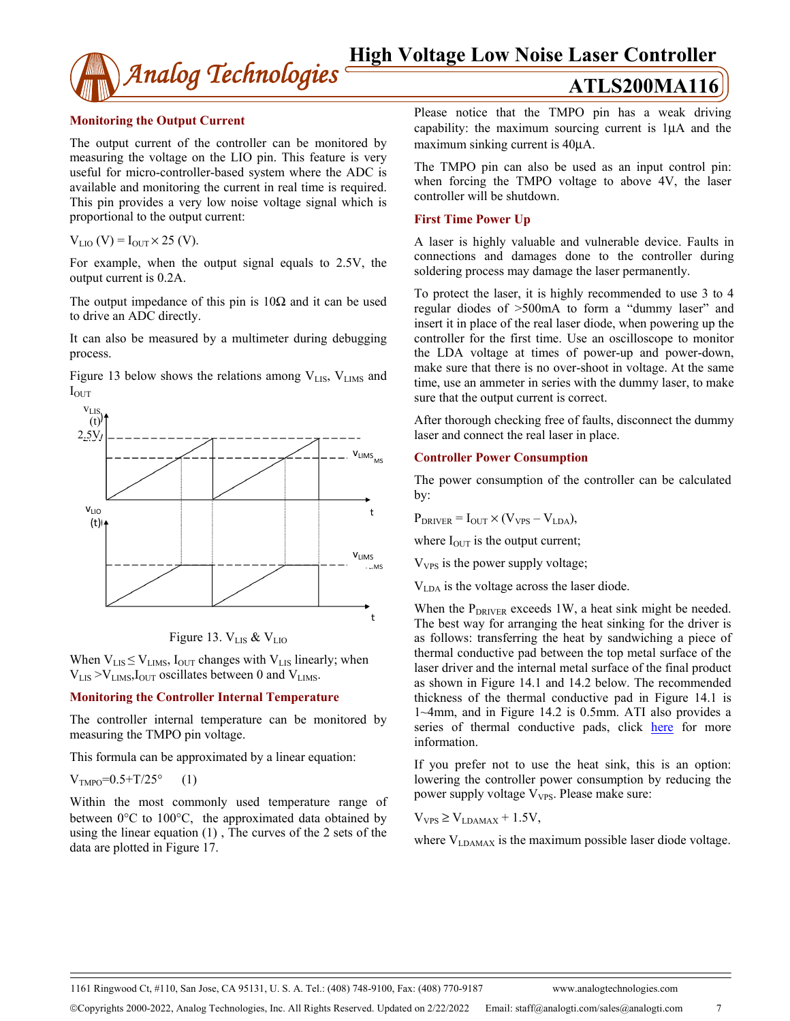

# **Monitoring the Output Current**

The output current of the controller can be monitored by measuring the voltage on the LIO pin. This feature is very useful for micro-controller-based system where the ADC is available and monitoring the current in real time is required. This pin provides a very low noise voltage signal which is proportional to the output current:

$$
V_{LIO}(V) = I_{OUT} \times 25 (V).
$$

For example, when the output signal equals to 2.5V, the output current is 0.2A.

The output impedance of this pin is  $10\Omega$  and it can be used to drive an ADC directly.

It can also be measured by a multimeter during debugging process.

Figure 13 below shows the relations among  $V_{LIS}$ ,  $V_{LIMS}$  and I<sub>OUT</sub>





When  $V_{LIS} \leq V_{LIMS}$ ,  $I_{OUT}$  changes with  $V_{LIS}$  linearly; when  $V_{LIS} > V_{LIMS}$ ,  $I_{OUT}$  oscillates between 0 and  $V_{LIMS}$ .

# **Monitoring the Controller Internal Temperature**

The controller internal temperature can be monitored by measuring the TMPO pin voltage.

This formula can be approximated by a linear equation:

$$
V_{\text{TMPO}} = 0.5 + T/25^{\circ} \qquad (1)
$$

Within the most commonly used temperature range of between 0°C to 100°C, the approximated data obtained by using the linear equation (1) , The curves of the 2 sets of the data are plotted in Figure 17.

Please notice that the TMPO pin has a weak driving capability: the maximum sourcing current is 1μA and the maximum sinking current is 40μA.

The TMPO pin can also be used as an input control pin: when forcing the TMPO voltage to above 4V, the laser controller will be shutdown.

# **First Time Power Up**

A laser is highly valuable and vulnerable device. Faults in connections and damages done to the controller during soldering process may damage the laser permanently.

To protect the laser, it is highly recommended to use 3 to 4 regular diodes of >500mA to form a "dummy laser" and insert it in place of the real laser diode, when powering up the controller for the first time. Use an oscilloscope to monitor the LDA voltage at times of power-up and power-down, make sure that there is no over-shoot in voltage. At the same time, use an ammeter in series with the dummy laser, to make sure that the output current is correct.

After thorough checking free of faults, disconnect the dummy laser and connect the real laser in place.

# **Controller Power Consumption**

The power consumption of the controller can be calculated by:

 $P_{DRIVER} = I_{OUT} \times (V_{VPS} - V_{LDA}),$ 

where  $I_{\text{OUT}}$  is the output current;

 $V_{VPS}$  is the power supply voltage;

VLDA is the voltage across the laser diode.

When the  $P_{DRIVER}$  exceeds 1W, a heat sink might be needed. The best way for arranging the heat sinking for the driver is as follows: transferring the heat by sandwiching a piece of thermal conductive pad between the top metal surface of the laser driver and the internal metal surface of the final product as shown in Figure 14.1 and 14.2 below. The recommended thickness of the thermal conductive pad in Figure 14.1 is 1~4mm, and in Figure 14.2 is 0.5mm. ATI also provides a series of thermal conductive pads, click here for more information.

If you prefer not to use the heat sink, this is an option: lowering the controller power consumption by reducing the power supply voltage V<sub>VPS</sub>. Please make sure:

 $V_{VPS} \geq V_{LDAMAX} + 1.5V$ ,

where  $V_{LDAMAX}$  is the maximum possible laser diode voltage.

1161 Ringwood Ct, #110, San Jose, CA 95131, U. S. A. Tel.: (408) 748-9100, Fax: (408) 770-9187 www.analogtechnologies.com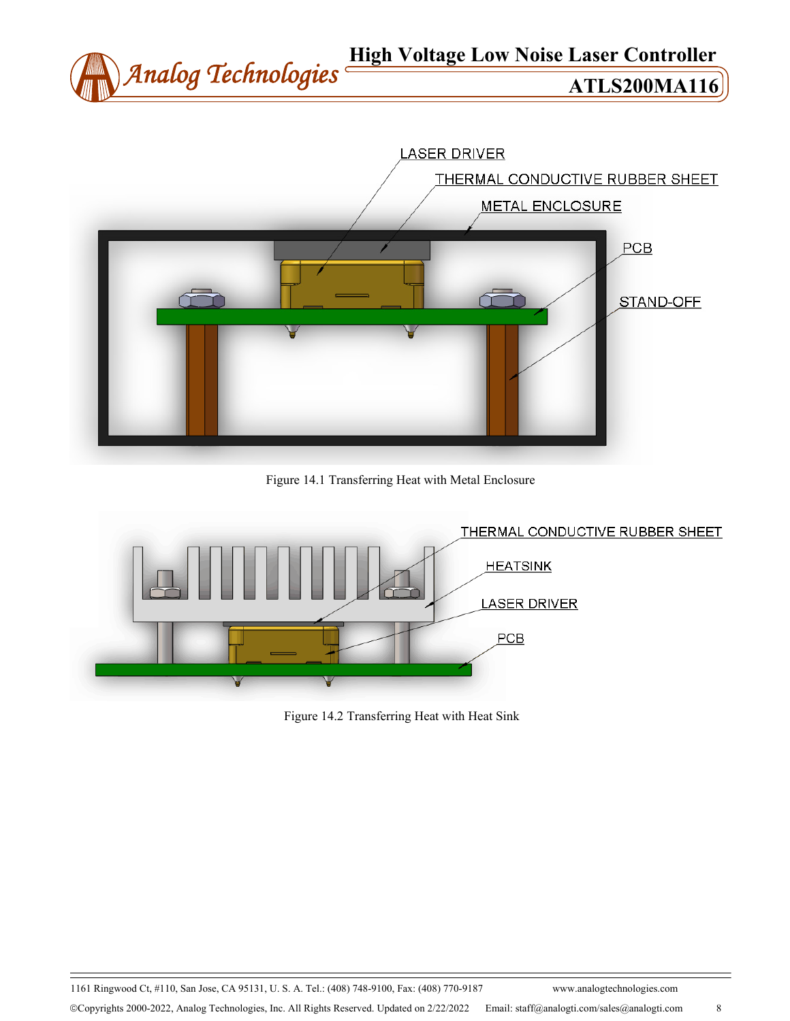



Figure 14.1 Transferring Heat with Metal Enclosure



Figure 14.2 Transferring Heat with Heat Sink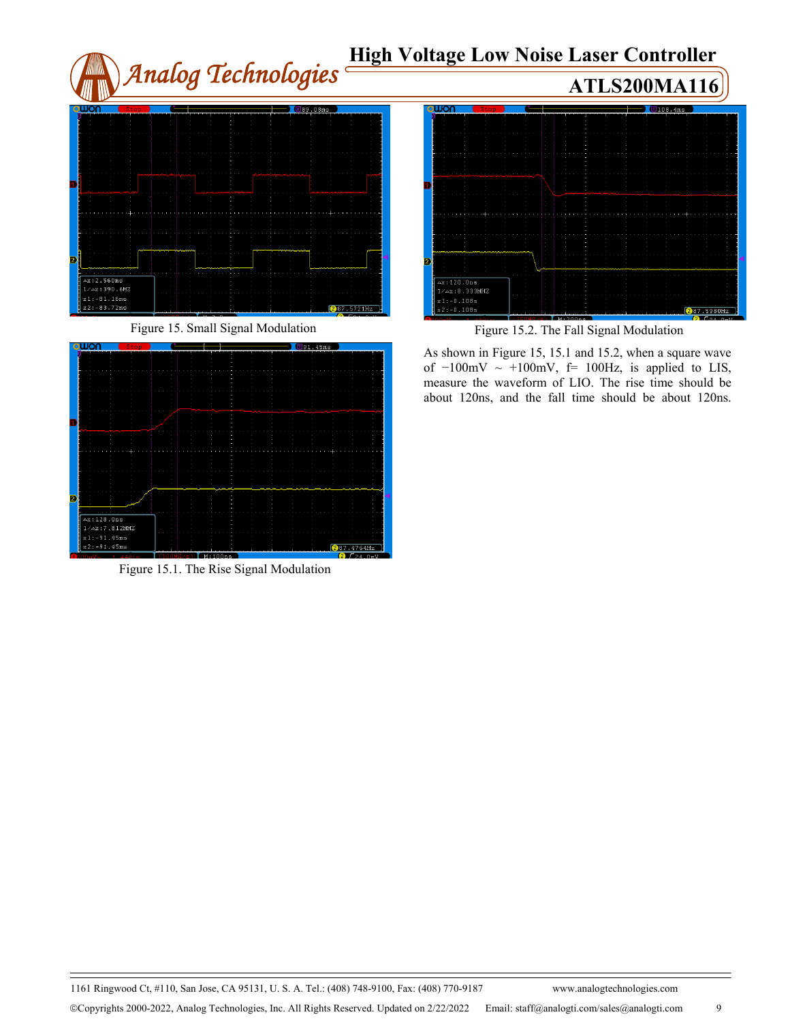# *Analog Technologies* **High Voltage Low Noise Laser Controller ATLS200MA116**  $x:2.560ms$ Δx:120.0ns<br>1/Δx:8.333MHZ 1:-81.16ms<br>2:-83.72ms  $287.5721Hz$  $2:-0.108\varepsilon$

Figure 15. Small Signal Modulation



Figure 15.1. The Rise Signal Modulation



 $287.5980Hz$ 

As shown in Figure 15, 15.1 and 15.2, when a square wave of  $-100$ mV ~  $+100$ mV, f= 100Hz, is applied to LIS, measure the waveform of LIO. The rise time should be about 120ns, and the fall time should be about 120ns.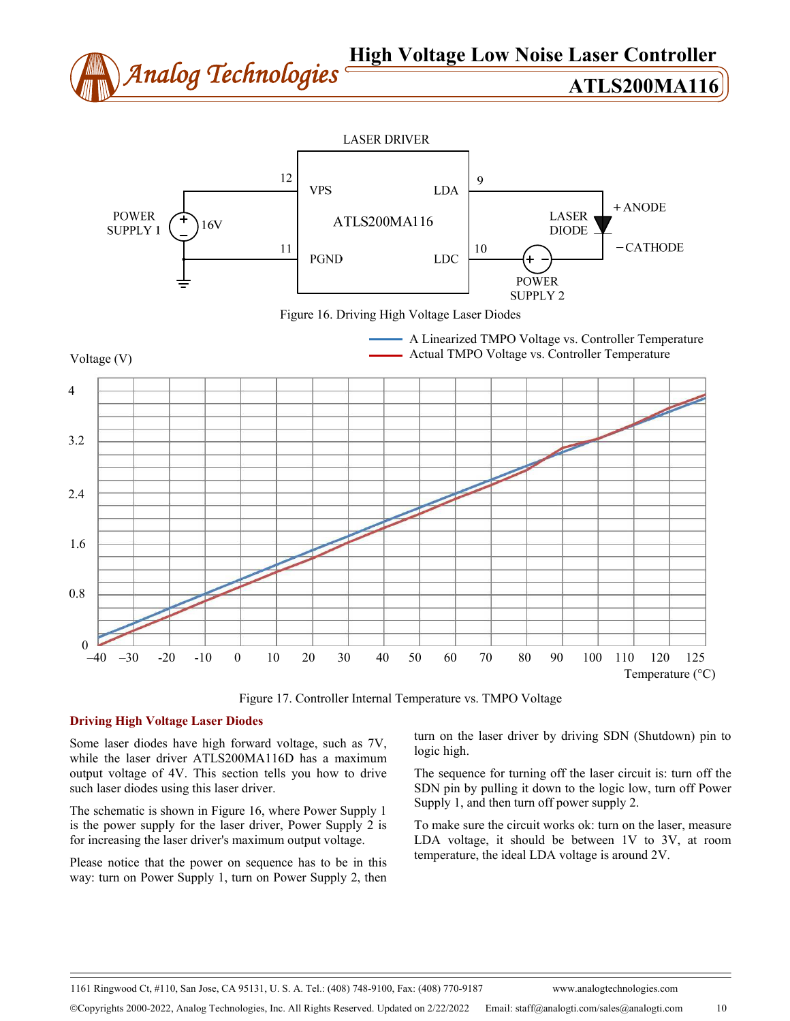# *Analog Technologies* **High Voltage Low Noise Laser Controller ATLS200MA116**



Temperature (°C)

Figure 17. Controller Internal Temperature vs. TMPO Voltage

# **Driving High Voltage Laser Diodes**

Some laser diodes have high forward voltage, such as 7V, while the laser driver ATLS200MA116D has a maximum output voltage of 4V. This section tells you how to drive such laser diodes using this laser driver.

The schematic is shown in Figure 16, where Power Supply 1 is the power supply for the laser driver, Power Supply 2 is for increasing the laser driver's maximum output voltage.

Please notice that the power on sequence has to be in this way: turn on Power Supply 1, turn on Power Supply 2, then

turn on the laser driver by driving SDN (Shutdown) pin to logic high.

The sequence for turning off the laser circuit is: turn off the SDN pin by pulling it down to the logic low, turn off Power Supply 1, and then turn off power supply 2.

To make sure the circuit works ok: turn on the laser, measure LDA voltage, it should be between 1V to 3V, at room temperature, the ideal LDA voltage is around 2V.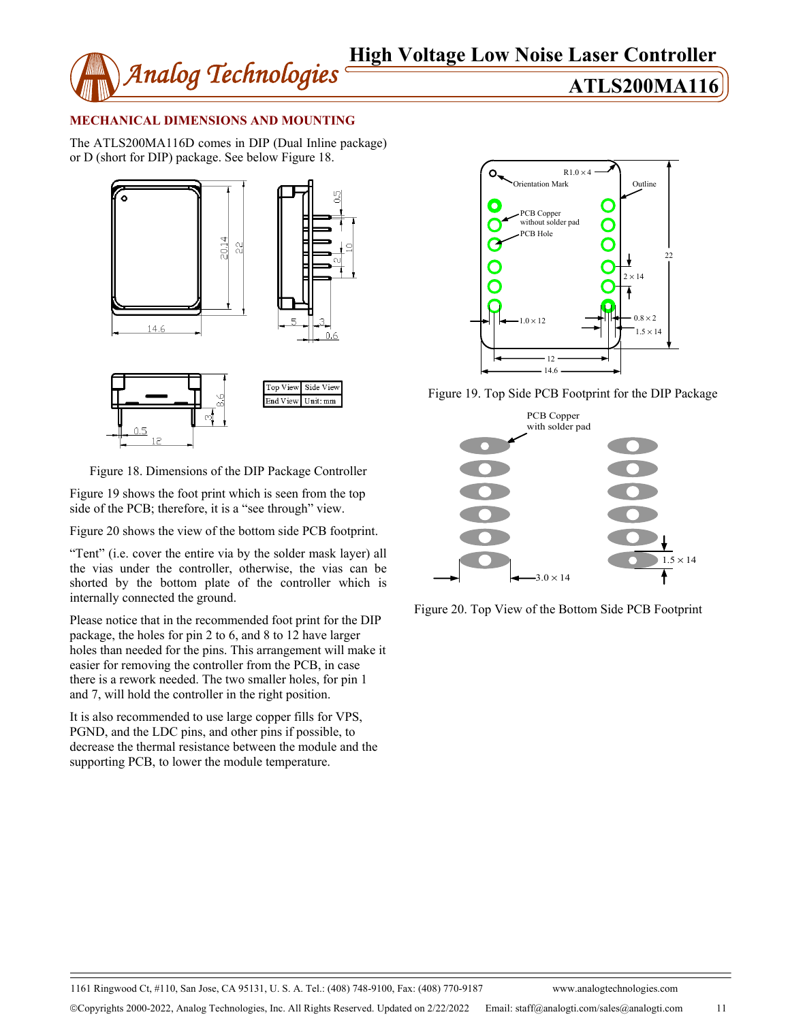

# **MECHANICAL DIMENSIONS AND MOUNTING**

The ATLS200MA116D comes in DIP (Dual Inline package) or D (short for DIP) package. See below Figure 18.





Figure 19 shows the foot print which is seen from the top side of the PCB; therefore, it is a "see through" view.

Figure 20 shows the view of the bottom side PCB footprint.

"Tent" (i.e. cover the entire via by the solder mask layer) all the vias under the controller, otherwise, the vias can be shorted by the bottom plate of the controller which is internally connected the ground.

Please notice that in the recommended foot print for the DIP package, the holes for pin 2 to 6, and 8 to 12 have larger holes than needed for the pins. This arrangement will make it easier for removing the controller from the PCB, in case there is a rework needed. The two smaller holes, for pin 1 and 7, will hold the controller in the right position.

It is also recommended to use large copper fills for VPS, PGND, and the LDC pins, and other pins if possible, to decrease the thermal resistance between the module and the supporting PCB, to lower the module temperature.



Figure 19. Top Side PCB Footprint for the DIP Package



Figure 20. Top View of the Bottom Side PCB Footprint

1161 Ringwood Ct, #110, San Jose, CA 95131, U. S. A. Tel.: (408) 748-9100, Fax: (408) 770-9187 www.analogtechnologies.com